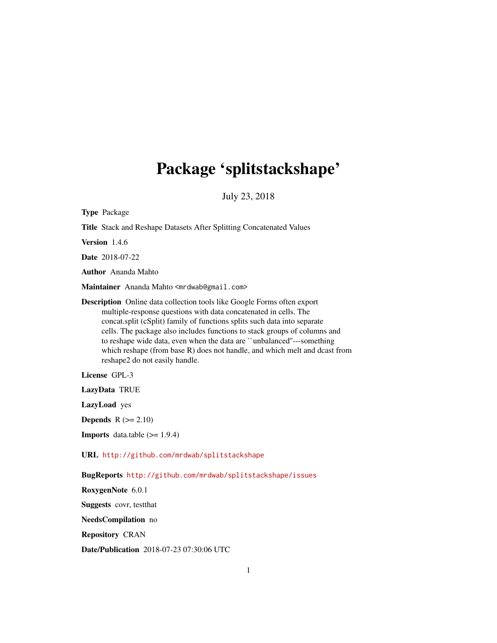# Package 'splitstackshape'

July 23, 2018

<span id="page-0-0"></span>

| <b>Type Package</b>                                                                                                                                                                                                                                                                                                                                                                                                                                                                                  |
|------------------------------------------------------------------------------------------------------------------------------------------------------------------------------------------------------------------------------------------------------------------------------------------------------------------------------------------------------------------------------------------------------------------------------------------------------------------------------------------------------|
| Title Stack and Reshape Datasets After Splitting Concatenated Values                                                                                                                                                                                                                                                                                                                                                                                                                                 |
| Version 1.4.6                                                                                                                                                                                                                                                                                                                                                                                                                                                                                        |
| Date 2018-07-22                                                                                                                                                                                                                                                                                                                                                                                                                                                                                      |
| <b>Author</b> Ananda Mahto                                                                                                                                                                                                                                                                                                                                                                                                                                                                           |
| Maintainer Ananda Mahto <mrdwab@gmail.com></mrdwab@gmail.com>                                                                                                                                                                                                                                                                                                                                                                                                                                        |
| <b>Description</b> Online data collection tools like Google Forms often export<br>multiple-response questions with data concatenated in cells. The<br>concat.split (cSplit) family of functions splits such data into separate<br>cells. The package also includes functions to stack groups of columns and<br>to reshape wide data, even when the data are "unbalanced"---something<br>which reshape (from base R) does not handle, and which melt and dcast from<br>reshape2 do not easily handle. |
| License GPL-3                                                                                                                                                                                                                                                                                                                                                                                                                                                                                        |
| LazyData TRUE                                                                                                                                                                                                                                                                                                                                                                                                                                                                                        |
| LazyLoad yes                                                                                                                                                                                                                                                                                                                                                                                                                                                                                         |
| <b>Depends</b> $R (= 2.10)$                                                                                                                                                                                                                                                                                                                                                                                                                                                                          |
| <b>Imports</b> data.table $(>= 1.9.4)$                                                                                                                                                                                                                                                                                                                                                                                                                                                               |
| URL http://github.com/mrdwab/splitstackshape                                                                                                                                                                                                                                                                                                                                                                                                                                                         |
| BugReports http://github.com/mrdwab/splitstackshape/issues                                                                                                                                                                                                                                                                                                                                                                                                                                           |
| RoxygenNote 6.0.1                                                                                                                                                                                                                                                                                                                                                                                                                                                                                    |
| <b>Suggests</b> covr, test that                                                                                                                                                                                                                                                                                                                                                                                                                                                                      |
| NeedsCompilation no                                                                                                                                                                                                                                                                                                                                                                                                                                                                                  |
| <b>Repository CRAN</b>                                                                                                                                                                                                                                                                                                                                                                                                                                                                               |

Date/Publication 2018-07-23 07:30:06 UTC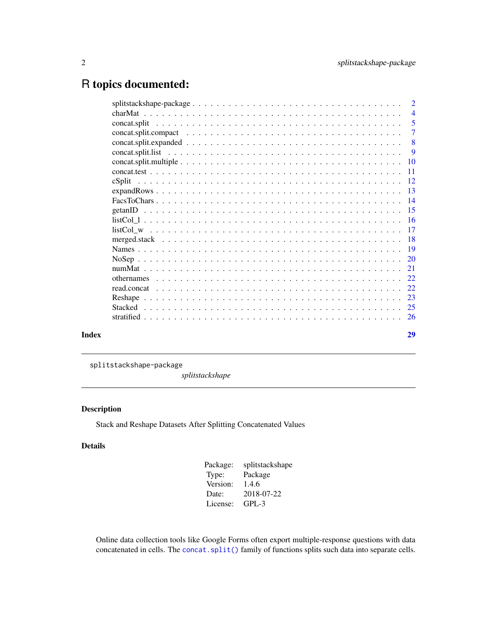# <span id="page-1-0"></span>R topics documented:

|       | $\overline{2}$ |
|-------|----------------|
|       | $\overline{4}$ |
|       | $\overline{5}$ |
|       | $\overline{7}$ |
|       | 8              |
|       | 9              |
|       |                |
|       |                |
|       |                |
|       |                |
|       |                |
|       |                |
|       |                |
|       |                |
|       |                |
|       |                |
|       |                |
|       |                |
|       |                |
|       |                |
|       |                |
|       |                |
|       |                |
|       |                |
| Index | 29             |
|       |                |

splitstackshape-package

*splitstackshape*

# Description

Stack and Reshape Datasets After Splitting Concatenated Values

# Details

| Package: | splitstackshape |
|----------|-----------------|
| Type:    | Package         |
| Version: | 1.4.6           |
| Date:    | 2018-07-22      |
| License: | $GPL-3$         |

Online data collection tools like Google Forms often export multiple-response questions with data concatenated in cells. The [concat.split\(\)](#page-4-1) family of functions splits such data into separate cells.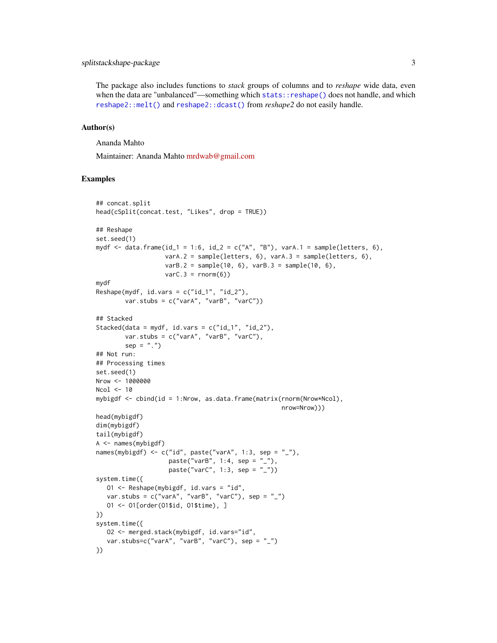# <span id="page-2-0"></span>splitstackshape-package 3

The package also includes functions to *stack* groups of columns and to *reshape* wide data, even when the data are "unbalanced"—something which [stats::reshape\(\)](#page-0-0) does not handle, and which [reshape2::melt\(\)](#page-0-0) and [reshape2::dcast\(\)](#page-0-0) from *reshape2* do not easily handle.

### Author(s)

Ananda Mahto

Maintainer: Ananda Mahto [mrdwab@gmail.com](mailto:mrdwab@gmail.com)

```
## concat.split
head(cSplit(concat.test, "Likes", drop = TRUE))
## Reshape
set.seed(1)
mydf \le data.frame(id_1 = 1:6, id_2 = c("A", "B"), varA.1 = sample(letters, 6),
                   varA.2 = sample(letters, 6), varA.3 = sample(letters, 6),
                   varB.2 = sample(10, 6), varB.3 = sample(10, 6),varC.3 = rnorm(6)mydf
Reshape(mydf, id.vars = c("id_1", "id_2"),var.stubs = c("varA", "varB", "varC"))
## Stacked
Stacked(data = mydf, id.vars = c("id_1", "id_2"),var.stubs = c("varA", "varB", "varC"),
       sep = "."')## Not run:
## Processing times
set.seed(1)
Nrow <- 1000000
Ncol <- 10
mybigdf <- cbind(id = 1:Nrow, as.data.frame(matrix(rnorm(Nrow*Ncol),
                                                   nrow=Nrow)))
head(mybigdf)
dim(mybigdf)
tail(mybigdf)
A <- names(mybigdf)
names(mybigdf) <- c("id", paste("varA", 1:3, sep = "_"),
                    paste("varB", 1:4, sep = "__"),
                    paste("varC", 1:3, sep = "_"))
system.time({
  O1 <- Reshape(mybigdf, id.vars = "id",
   var.stubs = c("varA", "varB", "varC"), sep = "__")O1 <- O1[order(O1$id, O1$time), ]
})
system.time({
   O2 <- merged.stack(mybigdf, id.vars="id",
   var.stubs=c("varA", "varB", "varC"), sep = "_")
})
```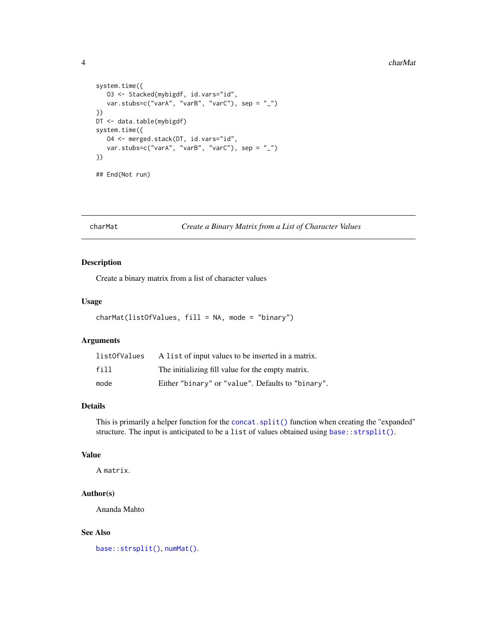### <span id="page-3-0"></span>4 charMat and the charmated control of the charmated charmated charmated charmated charmated charmated charmated charmated charmated charmated charmated charmated charmated charmated charmated charmated charmated charmated

```
system.time({
  O3 <- Stacked(mybigdf, id.vars="id",
  var.stubs=c("varA", "varB", "varC"), sep = "_")
})
DT <- data.table(mybigdf)
system.time({
  O4 <- merged.stack(DT, id.vars="id",
   var.stubs=c("varA", "varB", "varC"), sep = "_")
})
```
## End(Not run)

<span id="page-3-1"></span>charMat *Create a Binary Matrix from a List of Character Values*

# Description

Create a binary matrix from a list of character values

### Usage

charMat(listOfValues, fill = NA, mode = "binary")

# Arguments

| listOfValues | A list of input values to be inserted in a matrix. |
|--------------|----------------------------------------------------|
| fill         | The initializing fill value for the empty matrix.  |
| mode         | Either "binary" or "value". Defaults to "binary".  |

# Details

This is primarily a helper function for the [concat.split\(\)](#page-4-1) function when creating the "expanded" structure. The input is anticipated to be a list of values obtained using base:: strsplit().

# Value

A matrix.

# Author(s)

Ananda Mahto

### See Also

[base::strsplit\(\)](#page-0-0), [numMat\(\)](#page-20-1).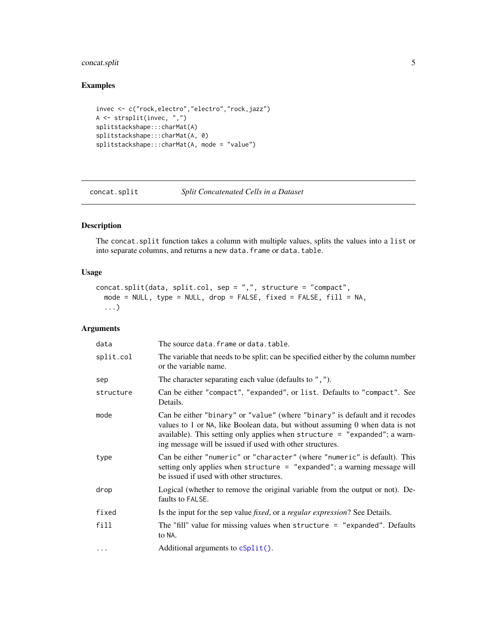# <span id="page-4-0"></span>concat.split 5

# Examples

```
invec <- c("rock,electro","electro","rock,jazz")
A <- strsplit(invec, ",")
splitstackshape:::charMat(A)
splitstackshape:::charMat(A, 0)
splitstackshape:::charMat(A, mode = "value")
```
<span id="page-4-1"></span>concat.split *Split Concatenated Cells in a Dataset*

# Description

The concat.split function takes a column with multiple values, splits the values into a list or into separate columns, and returns a new data.frame or data.table.

# Usage

```
concat.split(data, split.col, sep = ",", structure = "compact",
 mode = NULL, type = NULL, drop = FALSE, fixed = FALSE, fill = NA,
  ...)
```
# Arguments

| data      | The source data. frame or data. table.                                                                                                                                                                                                                                                                  |
|-----------|---------------------------------------------------------------------------------------------------------------------------------------------------------------------------------------------------------------------------------------------------------------------------------------------------------|
| split.col | The variable that needs to be split; can be specified either by the column number<br>or the variable name.                                                                                                                                                                                              |
| sep       | The character separating each value (defaults to ", ").                                                                                                                                                                                                                                                 |
| structure | Can be either "compact", "expanded", or list. Defaults to "compact". See<br>Details.                                                                                                                                                                                                                    |
| mode      | Can be either "binary" or "value" (where "binary" is default and it recodes<br>values to 1 or NA, like Boolean data, but without assuming 0 when data is not<br>available). This setting only applies when structure = "expanded"; a warn-<br>ing message will be issued if used with other structures. |
| type      | Can be either "numeric" or "character" (where "numeric" is default). This<br>setting only applies when structure = "expanded"; a warning message will<br>be issued if used with other structures.                                                                                                       |
| drop      | Logical (whether to remove the original variable from the output or not). De-<br>faults to FALSE.                                                                                                                                                                                                       |
| fixed     | Is the input for the sep value <i>fixed</i> , or a <i>regular expression</i> ? See Details.                                                                                                                                                                                                             |
| fill      | The "fill" value for missing values when structure $=$ "expanded". Defaults<br>to NA.                                                                                                                                                                                                                   |
| $\ddotsc$ | Additional arguments to $cSplit()$ .                                                                                                                                                                                                                                                                    |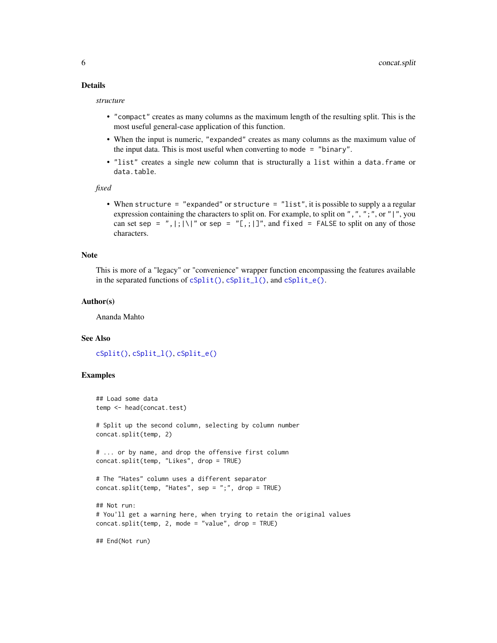# <span id="page-5-0"></span>Details

*structure*

- "compact" creates as many columns as the maximum length of the resulting split. This is the most useful general-case application of this function.
- When the input is numeric, "expanded" creates as many columns as the maximum value of the input data. This is most useful when converting to mode = "binary".
- "list" creates a single new column that is structurally a list within a data.frame or data.table.

*fixed*

• When structure = "expanded" or structure = "list", it is possible to supply a a regular expression containing the characters to split on. For example, to split on ",", ";", or "|", you can set sep = ", |; | \|" or sep = "[,; | ]", and fixed = FALSE to split on any of those characters.

### Note

This is more of a "legacy" or "convenience" wrapper function encompassing the features available in the separated functions of [cSplit\(\)](#page-11-1), [cSplit\\_l\(\)](#page-8-1), and [cSplit\\_e\(\)](#page-7-1).

#### Author(s)

Ananda Mahto

### See Also

[cSplit\(\)](#page-11-1), [cSplit\\_l\(\)](#page-8-1), [cSplit\\_e\(\)](#page-7-1)

### Examples

```
## Load some data
temp <- head(concat.test)
# Split up the second column, selecting by column number
concat.split(temp, 2)
# ... or by name, and drop the offensive first column
concat.split(temp, "Likes", drop = TRUE)
# The "Hates" column uses a different separator
concat.split(temp, "Hates", sep = ";", drop = TRUE)
## Not run:
# You'll get a warning here, when trying to retain the original values
concat.split(temp, 2, mode = "value", drop = TRUE)
```
## End(Not run)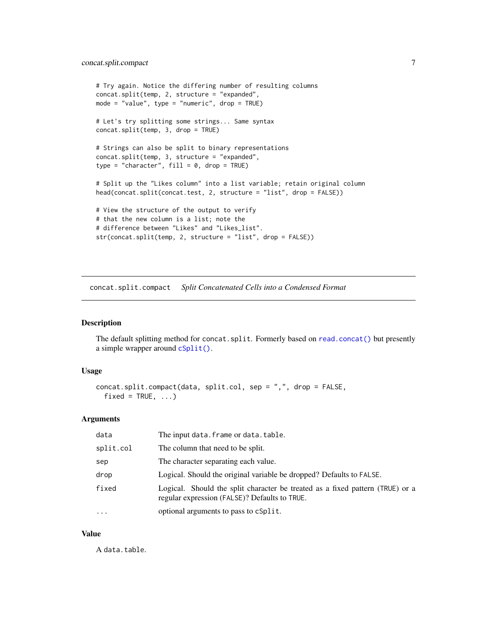```
# Try again. Notice the differing number of resulting columns
concat.split(temp, 2, structure = "expanded",
mode = "value", type = "numeric", drop = TRUE)
# Let's try splitting some strings... Same syntax
concat.split(temp, 3, drop = TRUE)
# Strings can also be split to binary representations
concat.split(temp, 3, structure = "expanded",
type = "character", fill = 0, drop = TRUE)
# Split up the "Likes column" into a list variable; retain original column
head(concat.split(concat.test, 2, structure = "list", drop = FALSE))
# View the structure of the output to verify
# that the new column is a list; note the
# difference between "Likes" and "Likes_list".
str(concat.split(temp, 2, structure = "list", drop = FALSE))
```
<span id="page-6-1"></span>concat.split.compact *Split Concatenated Cells into a Condensed Format*

### Description

The default splitting method for concat.split. Formerly based on [read.concat\(\)](#page-21-1) but presently a simple wrapper around [cSplit\(\)](#page-11-1).

### Usage

```
concat.split.compact(data, split.col, sep = ",", drop = FALSE,
  fixed = TRUE, ...
```
#### Arguments

| data      | The input data. frame or data. table.                                                                                          |
|-----------|--------------------------------------------------------------------------------------------------------------------------------|
| split.col | The column that need to be split.                                                                                              |
| sep       | The character separating each value.                                                                                           |
| drop      | Logical. Should the original variable be dropped? Defaults to FALSE.                                                           |
| fixed     | Logical. Should the split character be treated as a fixed pattern (TRUE) or a<br>regular expression (FALSE)? Defaults to TRUE. |
| .         | optional arguments to pass to cSplit.                                                                                          |

#### Value

A data.table.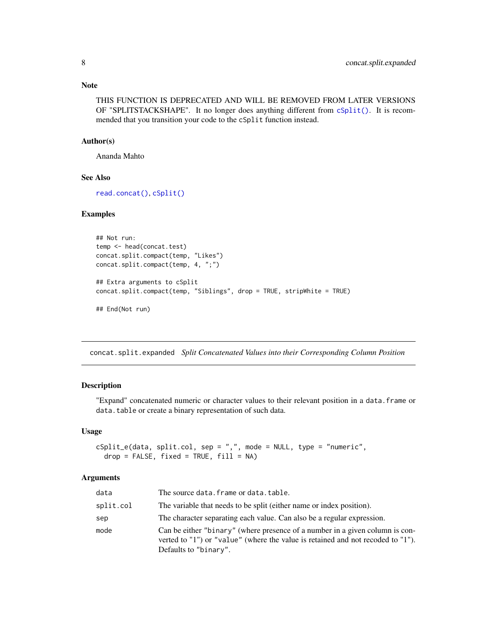### <span id="page-7-0"></span>Note

THIS FUNCTION IS DEPRECATED AND WILL BE REMOVED FROM LATER VERSIONS OF "SPLITSTACKSHAPE". It no longer does anything different from  $cSplit()$ . It is recommended that you transition your code to the cSplit function instead.

### Author(s)

Ananda Mahto

# See Also

[read.concat\(\)](#page-21-1), [cSplit\(\)](#page-11-1)

# Examples

```
## Not run:
temp <- head(concat.test)
concat.split.compact(temp, "Likes")
concat.split.compact(temp, 4, ";")
## Extra arguments to cSplit
concat.split.compact(temp, "Siblings", drop = TRUE, stripWhite = TRUE)
## End(Not run)
```
concat.split.expanded *Split Concatenated Values into their Corresponding Column Position*

### <span id="page-7-1"></span>Description

"Expand" concatenated numeric or character values to their relevant position in a data.frame or data.table or create a binary representation of such data.

### Usage

```
cSplit_e(data, split,col, sep = ",", mode = NULL, type = "numeric",drop = FALSE, fixed = TRUE, fill = NA)
```
# Arguments

| data      | The source data. frame or data. table.                                                                                                                                                   |
|-----------|------------------------------------------------------------------------------------------------------------------------------------------------------------------------------------------|
| split.col | The variable that needs to be split (either name or index position).                                                                                                                     |
| sep       | The character separating each value. Can also be a regular expression.                                                                                                                   |
| mode      | Can be either "binary" (where presence of a number in a given column is con-<br>verted to "1") or "value" (where the value is retained and not recoded to "1").<br>Defaults to "binary". |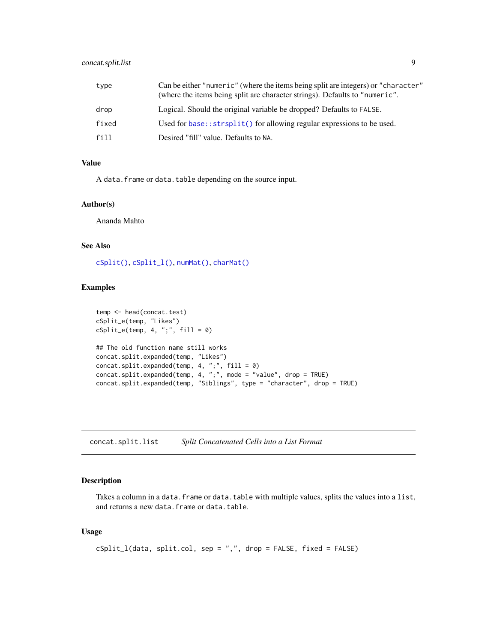# <span id="page-8-0"></span>concat.split.list 9

| type  | Can be either "numeric" (where the items being split are integers) or "character"<br>(where the items being split are character strings). Defaults to "numeric". |
|-------|------------------------------------------------------------------------------------------------------------------------------------------------------------------|
| drop  | Logical. Should the original variable be dropped? Defaults to FALSE.                                                                                             |
| fixed | Used for base:: $strsplit()$ for allowing regular expressions to be used.                                                                                        |
| fill  | Desired "fill" value. Defaults to NA.                                                                                                                            |

# Value

A data. frame or data.table depending on the source input.

#### Author(s)

Ananda Mahto

# See Also

[cSplit\(\)](#page-11-1), [cSplit\\_l\(\)](#page-8-1), [numMat\(\)](#page-20-1), [charMat\(\)](#page-3-1)

# Examples

```
temp <- head(concat.test)
cSplit_e(temp, "Likes")
cSplit_e(\text{temp}, 4, ", ", fill = 0)## The old function name still works
concat.split.expanded(temp, "Likes")
concat.split.expanded(temp, 4, ";", fill = 0)
concat.split.expanded(temp, 4, ";", mode = "value", drop = TRUE)
concat.split.expanded(temp, "Siblings", type = "character", drop = TRUE)
```
concat.split.list *Split Concatenated Cells into a List Format*

# <span id="page-8-1"></span>Description

Takes a column in a data. frame or data. table with multiple values, splits the values into a list, and returns a new data.frame or data.table.

# Usage

```
cSplit_l(data, split.col, sep = ",", drop = FALSE, fixed = FALSE)
```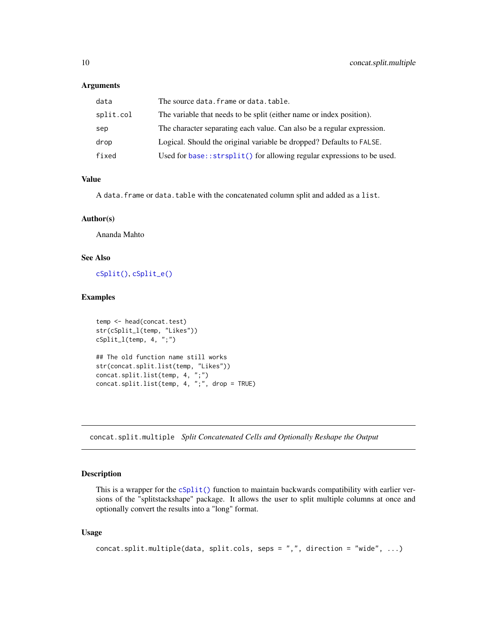### <span id="page-9-0"></span>Arguments

| data      | The source data. frame or data. table.                                    |
|-----------|---------------------------------------------------------------------------|
| split.col | The variable that needs to be split (either name or index position).      |
| sep       | The character separating each value. Can also be a regular expression.    |
| drop      | Logical. Should the original variable be dropped? Defaults to FALSE.      |
| fixed     | Used for base:: $strsplit()$ for allowing regular expressions to be used. |

# Value

A data. frame or data.table with the concatenated column split and added as a list.

# Author(s)

Ananda Mahto

### See Also

[cSplit\(\)](#page-11-1), [cSplit\\_e\(\)](#page-7-1)

# Examples

```
temp <- head(concat.test)
str(cSplit_l(temp, "Likes"))
cSplit_l(temp, 4, ";")
## The old function name still works
str(concat.split.list(temp, "Likes"))
concat.split.list(temp, 4, ";")
concat.split.list(temp, 4, ";", drop = TRUE)
```
concat.split.multiple *Split Concatenated Cells and Optionally Reshape the Output*

# Description

This is a wrapper for the [cSplit\(\)](#page-11-1) function to maintain backwards compatibility with earlier versions of the "splitstackshape" package. It allows the user to split multiple columns at once and optionally convert the results into a "long" format.

# Usage

```
concat.split.multiple(data, split.cols, seps = ",", direction = "wide", ...)
```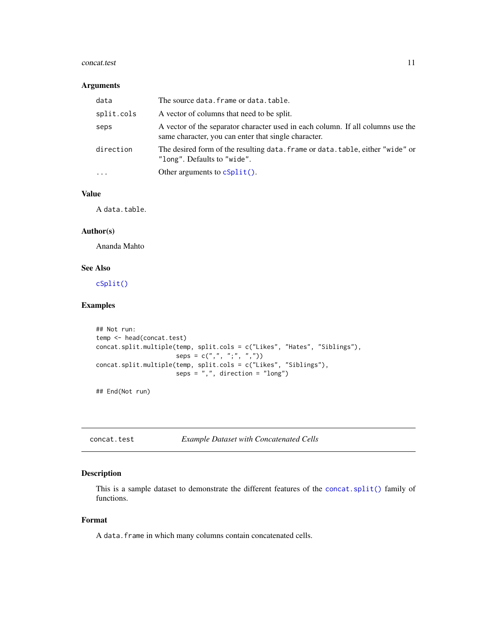### <span id="page-10-0"></span>concat.test 11

### Arguments

| data       | The source data. frame or data. table.                                                                                                  |
|------------|-----------------------------------------------------------------------------------------------------------------------------------------|
| split.cols | A vector of columns that need to be split.                                                                                              |
| seps       | A vector of the separator character used in each column. If all columns use the<br>same character, you can enter that single character. |
| direction  | The desired form of the resulting data. frame or data. table, either "wide" or<br>"long". Defaults to "wide".                           |
| $\ddots$   | Other arguments to $cSplit()$ .                                                                                                         |

# Value

A data.table.

### Author(s)

Ananda Mahto

# See Also

[cSplit\(\)](#page-11-1)

# Examples

```
## Not run:
temp <- head(concat.test)
concat.split.multiple(temp, split.cols = c("Likes", "Hates", "Siblings"),
                      seps = c("", ", ", ", ", "))concat.split.multiple(temp, split.cols = c("Likes", "Siblings"),
                      seps = ",", direction = "long")
```
## End(Not run)

concat.test *Example Dataset with Concatenated Cells*

# Description

This is a sample dataset to demonstrate the different features of the [concat.split\(\)](#page-4-1) family of functions.

# Format

A data.frame in which many columns contain concatenated cells.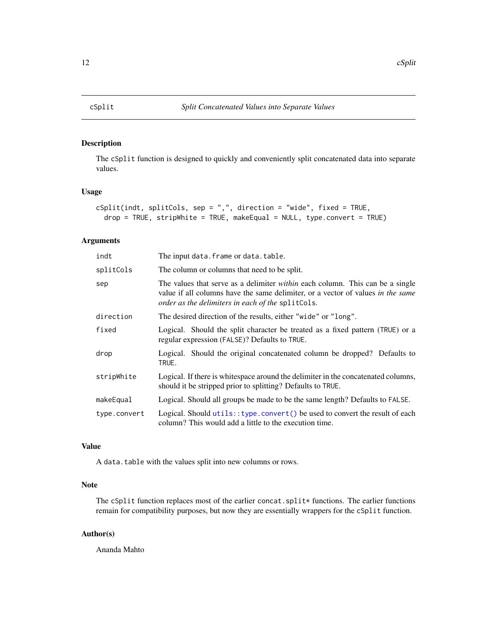<span id="page-11-1"></span><span id="page-11-0"></span>

The cSplit function is designed to quickly and conveniently split concatenated data into separate values.

# Usage

```
cSplit(indt, splitCols, sep = ",", direction = "wide", fixed = TRUE,
  drop = TRUE, stripWhite = TRUE, makeEqual = NULL, type.convert = TRUE)
```
# Arguments

| indt         | The input data. frame or data. table.                                                                                                                                                                                        |
|--------------|------------------------------------------------------------------------------------------------------------------------------------------------------------------------------------------------------------------------------|
| splitCols    | The column or columns that need to be split.                                                                                                                                                                                 |
| sep          | The values that serve as a delimiter <i>within</i> each column. This can be a single<br>value if all columns have the same delimiter, or a vector of values in the same<br>order as the delimiters in each of the splitCols. |
| direction    | The desired direction of the results, either "wide" or "long".                                                                                                                                                               |
| fixed        | Logical. Should the split character be treated as a fixed pattern (TRUE) or a<br>regular expression (FALSE)? Defaults to TRUE.                                                                                               |
| drop         | Logical. Should the original concatenated column be dropped? Defaults to<br>TRUE.                                                                                                                                            |
| stripWhite   | Logical. If there is white space around the delimiter in the concatenated columns,<br>should it be stripped prior to splitting? Defaults to TRUE.                                                                            |
| makeEqual    | Logical. Should all groups be made to be the same length? Defaults to FALSE.                                                                                                                                                 |
| type.convert | Logical. Should utils:: type.convert() be used to convert the result of each<br>column? This would add a little to the execution time.                                                                                       |

# Value

A data.table with the values split into new columns or rows.

# Note

The cSplit function replaces most of the earlier concat.split\* functions. The earlier functions remain for compatibility purposes, but now they are essentially wrappers for the cSplit function.

### Author(s)

Ananda Mahto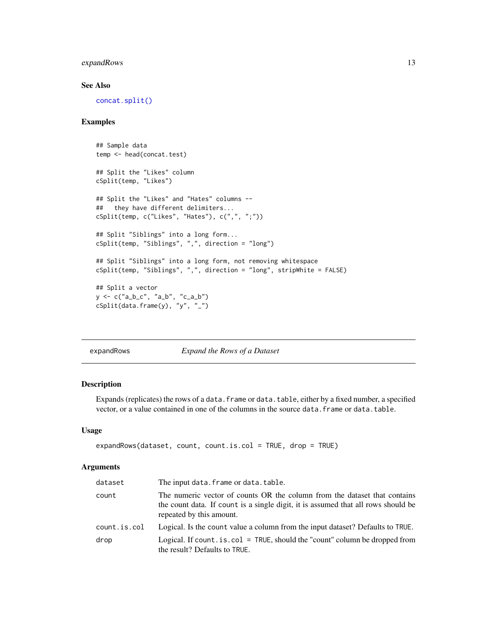# <span id="page-12-0"></span>expandRows 13

# See Also

[concat.split\(\)](#page-4-1)

### Examples

```
## Sample data
temp <- head(concat.test)
## Split the "Likes" column
cSplit(temp, "Likes")
## Split the "Likes" and "Hates" columns --
## they have different delimiters...
cSplit(temp, c("Likes", "Hates"), c(",", ";"))
## Split "Siblings" into a long form...
cSplit(temp, "Siblings", ",", direction = "long")
## Split "Siblings" into a long form, not removing whitespace
cSplit(temp, "Siblings", ",", direction = "long", stripWhite = FALSE)
## Split a vector
y <- c("a_b_c", "a_b", "c_a_b")
cSplit(data.frame(y), "y", "_")
```
expandRows *Expand the Rows of a Dataset*

# Description

Expands (replicates) the rows of a data.frame or data.table, either by a fixed number, a specified vector, or a value contained in one of the columns in the source data.frame or data.table.

#### Usage

```
expandRows(dataset, count, count.is.col = TRUE, drop = TRUE)
```
#### Arguments

| dataset      | The input data. frame or data. table.                                                                                                                                                      |
|--------------|--------------------------------------------------------------------------------------------------------------------------------------------------------------------------------------------|
| count        | The numeric vector of counts OR the column from the dataset that contains<br>the count data. If count is a single digit, it is assumed that all rows should be<br>repeated by this amount. |
| count.is.col | Logical. Is the count value a column from the input dataset? Defaults to TRUE.                                                                                                             |
| drop         | Logical. If count $.is.col = TRUE$ , should the "count" column be dropped from<br>the result? Defaults to TRUE.                                                                            |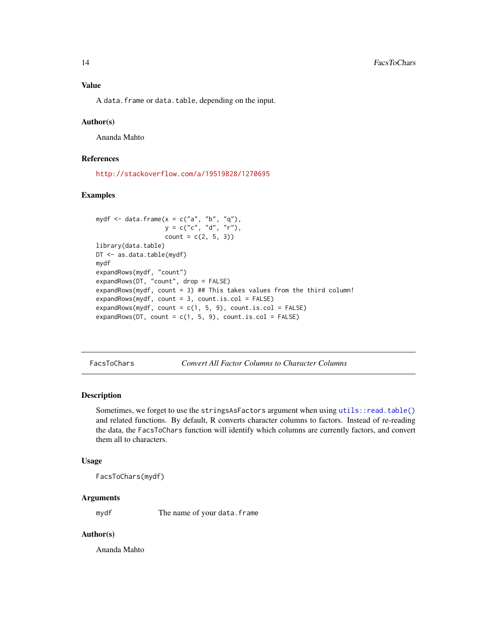<span id="page-13-0"></span>A data.frame or data.table, depending on the input.

#### Author(s)

Ananda Mahto

### References

<http://stackoverflow.com/a/19519828/1270695>

### Examples

```
mydf \leq data.frame(x = c("a", "b", "q"),y = c("c", "d", "r"),
                  count = c(2, 5, 3)library(data.table)
DT <- as.data.table(mydf)
mydf
expandRows(mydf, "count")
expandRows(DT, "count", drop = FALSE)
expandRows(mydf, count = 3) ## This takes values from the third column!
expandRows(mydf, count = 3, count.is,col = FALSE)expandRows(mydf, count = c(1, 5, 9), count.is.col = FALSE)
expandRows(DT, count = c(1, 5, 9), count.is.col = FALSE)
```
FacsToChars *Convert All Factor Columns to Character Columns*

### Description

Sometimes, we forget to use the stringsAsFactors argument when using [utils::read.table\(\)](#page-0-0) and related functions. By default, R converts character columns to factors. Instead of re-reading the data, the FacsToChars function will identify which columns are currently factors, and convert them all to characters.

### Usage

FacsToChars(mydf)

### Arguments

mydf The name of your data.frame

### Author(s)

Ananda Mahto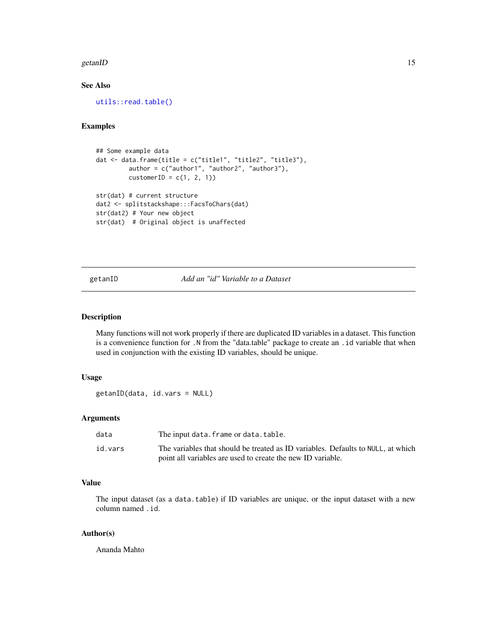### <span id="page-14-0"></span>getanID 15

# See Also

[utils::read.table\(\)](#page-0-0)

### Examples

```
## Some example data
dat <- data.frame(title = c("title1", "title2", "title3"),
         author = c("author1", "author2", "author3"),
         \text{customerID} = c(1, 2, 1)str(dat) # current structure
dat2 <- splitstackshape:::FacsToChars(dat)
str(dat2) # Your new object
str(dat) # Original object is unaffected
```
getanID *Add an "id" Variable to a Dataset*

### Description

Many functions will not work properly if there are duplicated ID variables in a dataset. This function is a convenience function for .N from the "data.table" package to create an .id variable that when used in conjunction with the existing ID variables, should be unique.

### Usage

getanID(data, id.vars = NULL)

### Arguments

| data    | The input data. frame or data. table.                                            |
|---------|----------------------------------------------------------------------------------|
| id.vars | The variables that should be treated as ID variables. Defaults to NULL, at which |
|         | point all variables are used to create the new ID variable.                      |

# Value

The input dataset (as a data.table) if ID variables are unique, or the input dataset with a new column named .id.

### Author(s)

Ananda Mahto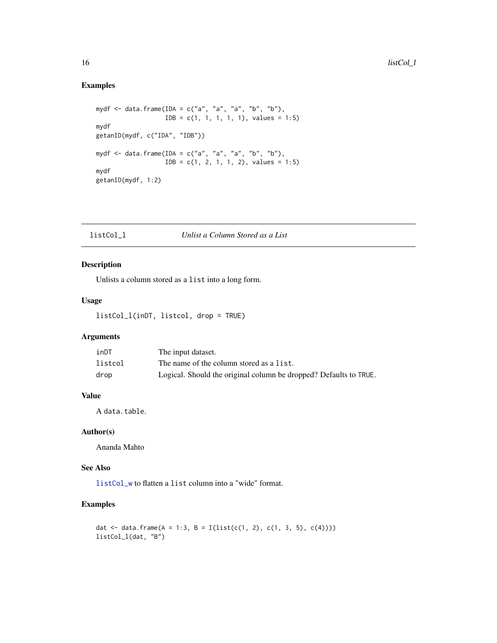# Examples

```
mydf <- data.frame(IDA = c("a", "a", "a", "b", "b"),
                  IDB = c(1, 1, 1, 1, 1), values = 1:5)
mydf
getanID(mydf, c("IDA", "IDB"))
mydf <- data.frame(IDA = c("a", "a", "a", "b", "b"),
                  IDB = c(1, 2, 1, 1, 2), values = 1:5)
mydf
getanID(mydf, 1:2)
```
<span id="page-15-1"></span>

# Description

Unlists a column stored as a list into a long form.

# Usage

listCol\_l(inDT, listcol, drop = TRUE)

# Arguments

| inDT    | The input dataset.                                                |
|---------|-------------------------------------------------------------------|
| listcol | The name of the column stored as a list.                          |
| drop    | Logical. Should the original column be dropped? Defaults to TRUE. |

# Value

A data.table.

### Author(s)

Ananda Mahto

# See Also

[listCol\\_w](#page-16-1) to flatten a list column into a "wide" format.

# Examples

dat <- data.frame(A = 1:3, B = I(list(c(1, 2), c(1, 3, 5), c(4)))) listCol\_l(dat, "B")

<span id="page-15-0"></span>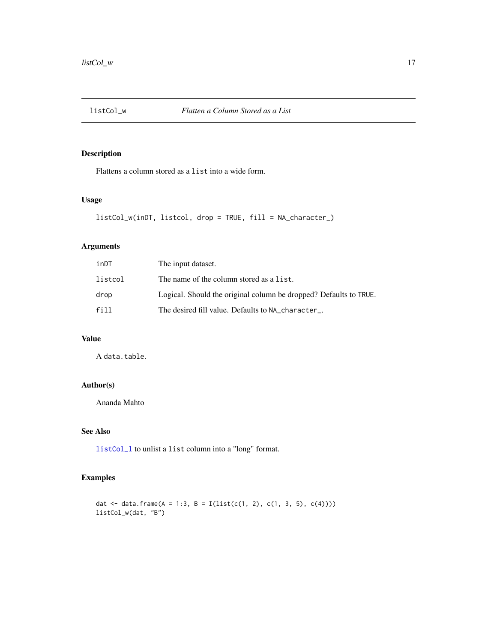<span id="page-16-1"></span><span id="page-16-0"></span>

Flattens a column stored as a list into a wide form.

# Usage

```
listCol_w(inDT, listcol, drop = TRUE, fill = NA_character_)
```
# Arguments

| inDT    | The input dataset.                                                |
|---------|-------------------------------------------------------------------|
| listcol | The name of the column stored as a list.                          |
| drop    | Logical. Should the original column be dropped? Defaults to TRUE. |
| fill    | The desired fill value. Defaults to NA character.                 |

# Value

A data.table.

# Author(s)

Ananda Mahto

# See Also

[listCol\\_l](#page-15-1) to unlist a list column into a "long" format.

# Examples

dat <- data.frame(A = 1:3, B = I(list(c(1, 2), c(1, 3, 5), c(4)))) listCol\_w(dat, "B")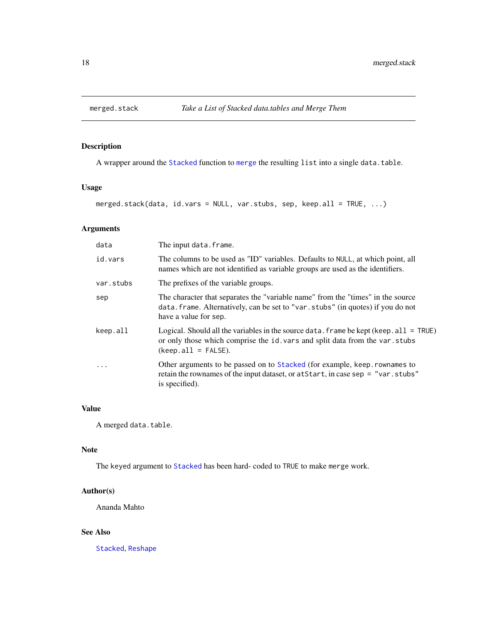<span id="page-17-1"></span><span id="page-17-0"></span>

A wrapper around the [Stacked](#page-24-1) function to [merge](#page-0-0) the resulting list into a single data.table.

# Usage

merged.stack(data, id.vars = NULL, var.stubs, sep, keep.all = TRUE, ...)

# Arguments

| data                    | The input data. frame.                                                                                                                                                                             |  |  |  |
|-------------------------|----------------------------------------------------------------------------------------------------------------------------------------------------------------------------------------------------|--|--|--|
| id.vars                 | The columns to be used as "ID" variables. Defaults to NULL, at which point, all<br>names which are not identified as variable groups are used as the identifiers.                                  |  |  |  |
| var.stubs               | The prefixes of the variable groups.                                                                                                                                                               |  |  |  |
| sep                     | The character that separates the "variable name" from the "times" in the source<br>data. frame. Alternatively, can be set to "var. stubs" (in quotes) if you do not<br>have a value for sep.       |  |  |  |
| keep.all                | Logical. Should all the variables in the source data. frame be kept (keep. $all = TRUE$ )<br>or only those which comprise the id. vars and split data from the var. stubs<br>$(keep.al1 = FALSE).$ |  |  |  |
| $\cdot$ $\cdot$ $\cdot$ | Other arguments to be passed on to Stacked (for example, keep. rownames to<br>retain the rownames of the input dataset, or at Start, in case sep = "var.stubs"<br>is specified).                   |  |  |  |

# Value

A merged data.table.

#### Note

The keyed argument to [Stacked](#page-24-1) has been hard- coded to TRUE to make merge work.

# Author(s)

Ananda Mahto

### See Also

[Stacked](#page-24-1), [Reshape](#page-22-1)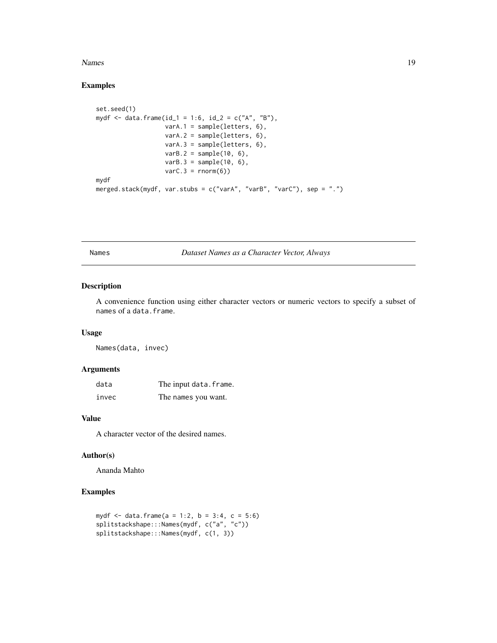### <span id="page-18-0"></span>Names and the set of the set of the set of the set of the set of the set of the set of the set of the set of the set of the set of the set of the set of the set of the set of the set of the set of the set of the set of the

# Examples

```
set.seed(1)
mydf <- data.frame(id_1 = 1:6, id_2 = c("A", "B"),
                   \text{varA.1} = \text{sample}(letters, 6),varA.2 = sample(letters, 6),
                   varA.3 = sample(letters, 6),
                   varB.2 = sample(10, 6),varB.3 = sample(10, 6),
                   varC.3 = rnorm(6)mydf
merged.stack(mydf, var.stubs = c("varA", "varB", "varC"), sep = ".")
```
Names *Dataset Names as a Character Vector, Always*

# Description

A convenience function using either character vectors or numeric vectors to specify a subset of names of a data.frame.

# Usage

Names(data, invec)

### Arguments

| data  | The input data.frame. |
|-------|-----------------------|
| invec | The names you want.   |

# Value

A character vector of the desired names.

# Author(s)

Ananda Mahto

```
mydf <- data.frame(a = 1:2, b = 3:4, c = 5:6)
splitstackshape:::Names(mydf, c("a", "c"))
splitstackshape:::Names(mydf, c(1, 3))
```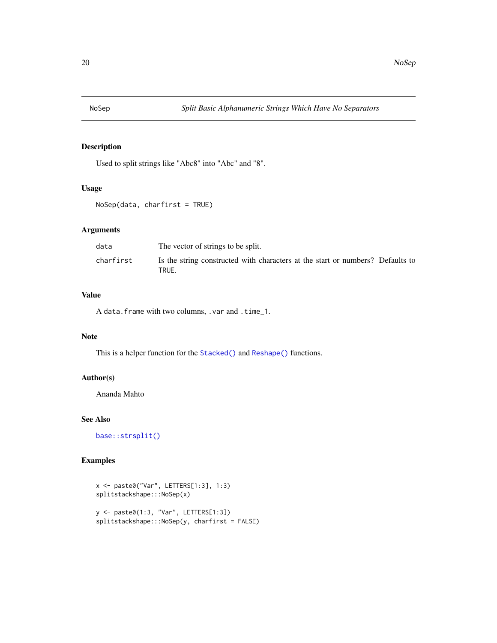<span id="page-19-1"></span><span id="page-19-0"></span>

Used to split strings like "Abc8" into "Abc" and "8".

# Usage

```
NoSep(data, charfirst = TRUE)
```
# Arguments

| data      | The vector of strings to be split.                                                      |
|-----------|-----------------------------------------------------------------------------------------|
| charfirst | Is the string constructed with characters at the start or numbers? Defaults to<br>TRUE. |

# Value

A data.frame with two columns, .var and .time\_1.

# Note

This is a helper function for the [Stacked\(\)](#page-24-1) and [Reshape\(\)](#page-22-1) functions.

# Author(s)

Ananda Mahto

# See Also

[base::strsplit\(\)](#page-0-0)

```
x <- paste0("Var", LETTERS[1:3], 1:3)
splitstackshape:::NoSep(x)
y <- paste0(1:3, "Var", LETTERS[1:3])
splitstackshape:::NoSep(y, charfirst = FALSE)
```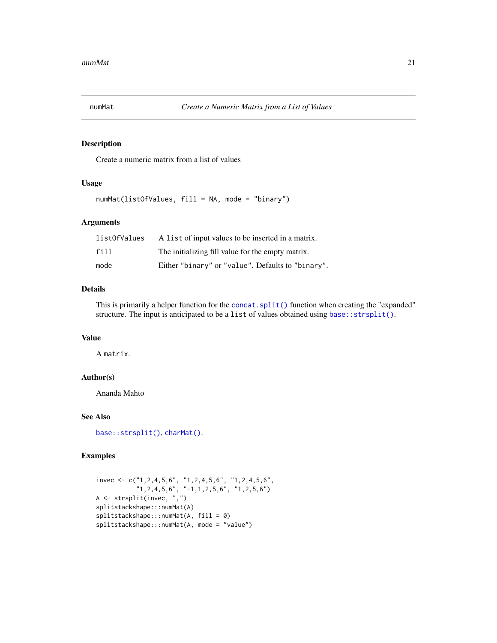<span id="page-20-1"></span><span id="page-20-0"></span>

Create a numeric matrix from a list of values

# Usage

numMat(listOfValues, fill = NA, mode = "binary")

# Arguments

| listOfValues | A list of input values to be inserted in a matrix. |
|--------------|----------------------------------------------------|
| fill         | The initializing fill value for the empty matrix.  |
| mode         | Either "binary" or "value". Defaults to "binary".  |

### Details

This is primarily a helper function for the [concat.split\(\)](#page-4-1) function when creating the "expanded" structure. The input is anticipated to be a list of values obtained using base:: strsplit().

# Value

A matrix.

### Author(s)

Ananda Mahto

# See Also

```
base::strsplit(), charMat().
```

```
invec <- c("1,2,4,5,6", "1,2,4,5,6", "1,2,4,5,6",
           "1,2,4,5,6", "-1,1,2,5,6", "1,2,5,6")
A <- strsplit(invec, ",")
splitstackshape:::numMat(A)
splitstackshape:::numMat(A, fill = 0)
splitstackshape:::numMat(A, mode = "value")
```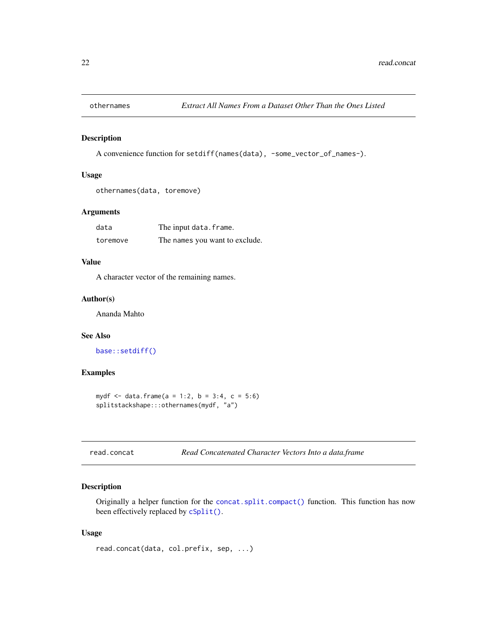<span id="page-21-0"></span>

A convenience function for setdiff(names(data), -some\_vector\_of\_names-).

### Usage

```
othernames(data, toremove)
```
# Arguments

| data     | The input data.frame.          |  |  |  |
|----------|--------------------------------|--|--|--|
| toremove | The names you want to exclude. |  |  |  |

# Value

A character vector of the remaining names.

# Author(s)

Ananda Mahto

# See Also

[base::setdiff\(\)](#page-0-0)

### Examples

```
mydf <- data.frame(a = 1:2, b = 3:4, c = 5:6)
splitstackshape:::othernames(mydf, "a")
```

```
read.concat Read Concatenated Character Vectors Into a data.frame
```
### Description

Originally a helper function for the [concat.split.compact\(\)](#page-6-1) function. This function has now been effectively replaced by [cSplit\(\)](#page-11-1).

### Usage

```
read.concat(data, col.prefix, sep, ...)
```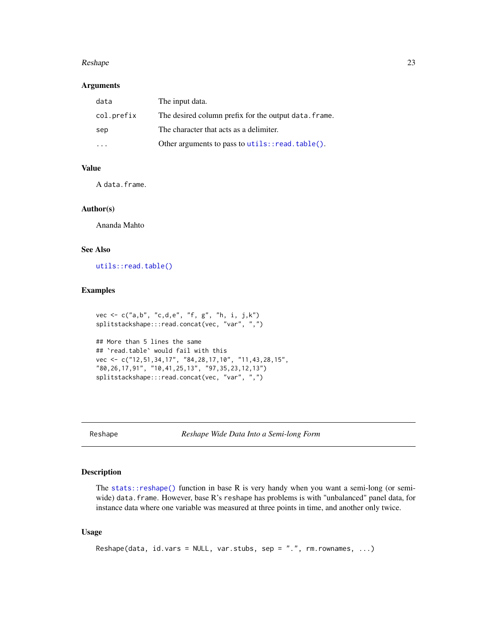### <span id="page-22-0"></span>Reshape 23

# Arguments

| data       | The input data.                                       |
|------------|-------------------------------------------------------|
| col.prefix | The desired column prefix for the output data. frame. |
| sep        | The character that acts as a delimiter.               |
|            | Other arguments to pass to utils::read.table().       |

# Value

A data.frame.

### Author(s)

Ananda Mahto

# See Also

[utils::read.table\(\)](#page-0-0)

# Examples

```
vec <- c("a,b", "c,d,e", "f, g", "h, i, j,k")
splitstackshape:::read.concat(vec, "var", ",")
## More than 5 lines the same
```

```
## `read.table` would fail with this
vec <- c("12,51,34,17", "84,28,17,10", "11,43,28,15",
"80,26,17,91", "10,41,25,13", "97,35,23,12,13")
splitstackshape:::read.concat(vec, "var", ",")
```
<span id="page-22-1"></span>Reshape *Reshape Wide Data Into a Semi-long Form*

# Description

The [stats::reshape\(\)](#page-0-0) function in base R is very handy when you want a semi-long (or semiwide) data.frame. However, base R's reshape has problems is with "unbalanced" panel data, for instance data where one variable was measured at three points in time, and another only twice.

# Usage

```
Reshape(data, id.vars = NULL, var.stubs, sep = ".", rm.rownames, ...)
```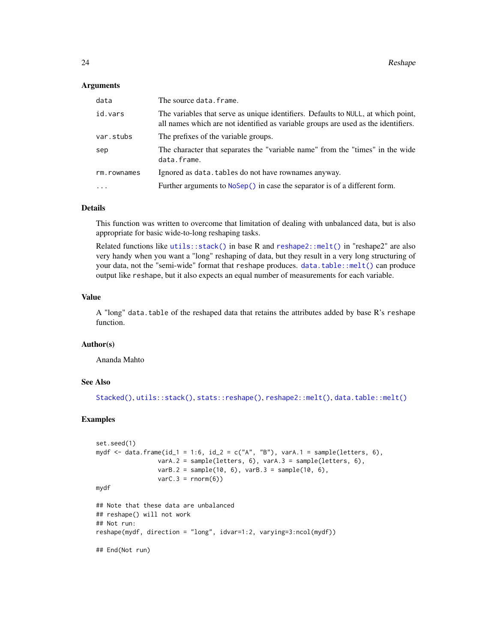### <span id="page-23-0"></span>Arguments

| data        | The source data.frame.                                                                                                                                                  |  |  |  |  |
|-------------|-------------------------------------------------------------------------------------------------------------------------------------------------------------------------|--|--|--|--|
| id.vars     | The variables that serve as unique identifiers. Defaults to NULL, at which point,<br>all names which are not identified as variable groups are used as the identifiers. |  |  |  |  |
| var.stubs   | The prefixes of the variable groups.                                                                                                                                    |  |  |  |  |
| sep         | The character that separates the "variable name" from the "times" in the wide<br>data.frame.                                                                            |  |  |  |  |
| rm.rownames | Ignored as data. tables do not have rownames anyway.                                                                                                                    |  |  |  |  |
| $\ddots$    | Further arguments to NoSep() in case the separator is of a different form.                                                                                              |  |  |  |  |
|             |                                                                                                                                                                         |  |  |  |  |

### Details

This function was written to overcome that limitation of dealing with unbalanced data, but is also appropriate for basic wide-to-long reshaping tasks.

Related functions like [utils::stack\(\)](#page-0-0) in base R and [reshape2::melt\(\)](#page-0-0) in "reshape2" are also very handy when you want a "long" reshaping of data, but they result in a very long structuring of your data, not the "semi-wide" format that reshape produces. [data.table::melt\(\)](#page-0-0) can produce output like reshape, but it also expects an equal number of measurements for each variable.

### Value

A "long" data.table of the reshaped data that retains the attributes added by base R's reshape function.

# Author(s)

Ananda Mahto

# See Also

```
Stacked(), utils::stack(), stats::reshape(), reshape2::melt(), data.table::melt()
```

```
set.seed(1)
mydf <- data.frame(id_1 = 1:6, id_2 = c("A", "B"), varA.1 = sample(letters, 6),
                 varA.2 = sample(letters, 6), varA.3 = sample(letters, 6),
                 varB.2 = sample(10, 6), varB.3 = sample(10, 6),
                 varC.3 = rnorm(6)mydf
## Note that these data are unbalanced
## reshape() will not work
## Not run:
reshape(mydf, direction = "long", idvar=1:2, varying=3:ncol(mydf))
## End(Not run)
```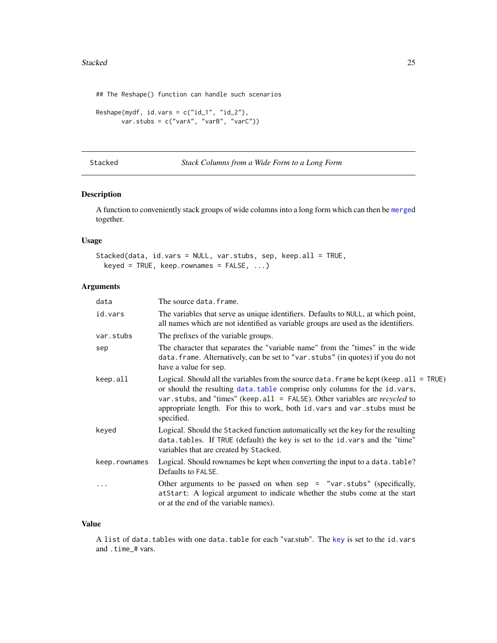### <span id="page-24-0"></span>Stacked 25

## The Reshape() function can handle such scenarios

```
Reshape(mydf, id.vars = c("id_1", "id_2"),
       var.stubs = c("varA", "varB", "varC"))
```

```
Stacked Stack Columns from a Wide Form to a Long Form
```

| Stack Columns from a Wide Form to a Long Form |  |  |  |
|-----------------------------------------------|--|--|--|
|                                               |  |  |  |

# Description

A function to conveniently stack groups of wide columns into a long form which can then be [merge](#page-0-0)d together.

# Usage

```
Stacked(data, id.vars = NULL, var.stubs, sep, keep.all = TRUE,
 keyed = TRUE, keep. row names = FALSE, ...)
```
# Arguments

| data          | The source data.frame.                                                                                                                                                                                                                                                                                                                               |
|---------------|------------------------------------------------------------------------------------------------------------------------------------------------------------------------------------------------------------------------------------------------------------------------------------------------------------------------------------------------------|
| id.vars       | The variables that serve as unique identifiers. Defaults to NULL, at which point,<br>all names which are not identified as variable groups are used as the identifiers.                                                                                                                                                                              |
| var.stubs     | The prefixes of the variable groups.                                                                                                                                                                                                                                                                                                                 |
| sep           | The character that separates the "variable name" from the "times" in the wide<br>data. frame. Alternatively, can be set to "var. stubs" (in quotes) if you do not<br>have a value for sep.                                                                                                                                                           |
| keep.all      | Logical. Should all the variables from the source data. frame be kept (keep. $all = TRUE$ )<br>or should the resulting data. table comprise only columns for the id. vars,<br>var.stubs, and "times" (keep.all = FALSE). Other variables are recycled to<br>appropriate length. For this to work, both id. vars and var. stubs must be<br>specified. |
| keyed         | Logical. Should the Stacked function automatically set the key for the resulting<br>data.tables. If TRUE (default) the key is set to the id.vars and the "time"<br>variables that are created by Stacked.                                                                                                                                            |
| keep.rownames | Logical. Should rownames be kept when converting the input to a data. table?<br>Defaults to FALSE.                                                                                                                                                                                                                                                   |
|               | Other arguments to be passed on when sep = "var.stubs" (specifically,<br>at Start: A logical argument to indicate whether the stubs come at the start<br>or at the end of the variable names).                                                                                                                                                       |
|               |                                                                                                                                                                                                                                                                                                                                                      |

# Value

A list of data.tables with one data.table for each "var.stub". The [key](#page-0-0) is set to the id.vars and .time\_# vars.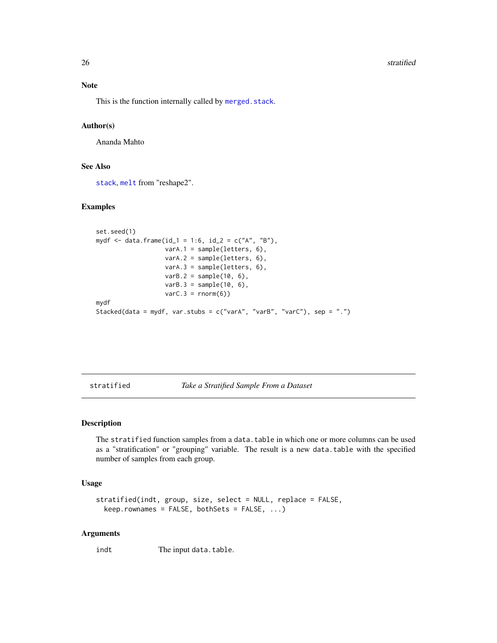### <span id="page-25-0"></span>26 stratified to the contract of the contract of the contract of the contract of the contract of the contract of the contract of the contract of the contract of the contract of the contract of the contract of the contract

### Note

This is the function internally called by [merged.stack](#page-17-1).

### Author(s)

Ananda Mahto

# See Also

[stack](#page-0-0), [melt](#page-0-0) from "reshape2".

### Examples

```
set.seed(1)
mydf <- data.frame(id_1 = 1:6, id_2 = c("A", "B"),
                  varA.1 = sample(letters, 6),
                  varA.2 = sample(letters, 6),
                  varA.3 = sample(letters, 6),
                  varB.2 = sample(10, 6),
                  varB.3 = sample(10, 6),varC.3 = rnorm(6)mydf
Stacked(data = mydf, var.stubs = c("varA", "varB", "varC"), sep = ".")
```
stratified *Take a Stratified Sample From a Dataset*

### Description

The stratified function samples from a data.table in which one or more columns can be used as a "stratification" or "grouping" variable. The result is a new data.table with the specified number of samples from each group.

# Usage

```
stratified(indt, group, size, select = NULL, replace = FALSE,
 keep.rownames = FALSE, bothSets = FALSE, ...)
```
### Arguments

indt The input data.table.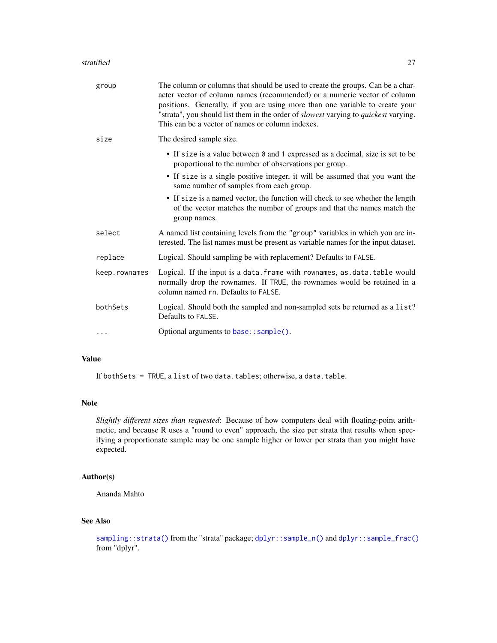### <span id="page-26-0"></span>stratified 27

| group         | The column or columns that should be used to create the groups. Can be a char-<br>acter vector of column names (recommended) or a numeric vector of column<br>positions. Generally, if you are using more than one variable to create your<br>"strata", you should list them in the order of <i>slowest</i> varying to <i>quickest</i> varying.<br>This can be a vector of names or column indexes. |
|---------------|-----------------------------------------------------------------------------------------------------------------------------------------------------------------------------------------------------------------------------------------------------------------------------------------------------------------------------------------------------------------------------------------------------|
| size          | The desired sample size.                                                                                                                                                                                                                                                                                                                                                                            |
|               | • If size is a value between 0 and 1 expressed as a decimal, size is set to be<br>proportional to the number of observations per group.                                                                                                                                                                                                                                                             |
|               | • If size is a single positive integer, it will be assumed that you want the<br>same number of samples from each group.                                                                                                                                                                                                                                                                             |
|               | • If size is a named vector, the function will check to see whether the length<br>of the vector matches the number of groups and that the names match the<br>group names.                                                                                                                                                                                                                           |
| select        | A named list containing levels from the "group" variables in which you are in-<br>terested. The list names must be present as variable names for the input dataset.                                                                                                                                                                                                                                 |
| replace       | Logical. Should sampling be with replacement? Defaults to FALSE.                                                                                                                                                                                                                                                                                                                                    |
| keep.rownames | Logical. If the input is a data. frame with rownames, as.data.table would<br>normally drop the rownames. If TRUE, the rownames would be retained in a<br>column named rn. Defaults to FALSE.                                                                                                                                                                                                        |
| bothSets      | Logical. Should both the sampled and non-sampled sets be returned as a list?<br>Defaults to FALSE.                                                                                                                                                                                                                                                                                                  |
| $\cdots$      | Optional arguments to $base::sample()$ .                                                                                                                                                                                                                                                                                                                                                            |

# Value

If bothSets = TRUE, a list of two data.tables; otherwise, a data.table.

# Note

*Slightly different sizes than requested*: Because of how computers deal with floating-point arithmetic, and because R uses a "round to even" approach, the size per strata that results when specifying a proportionate sample may be one sample higher or lower per strata than you might have expected.

# Author(s)

Ananda Mahto

# See Also

```
sampling::strata()dplyr::sample_n()dplyr::sample_frac()
from "dplyr".
```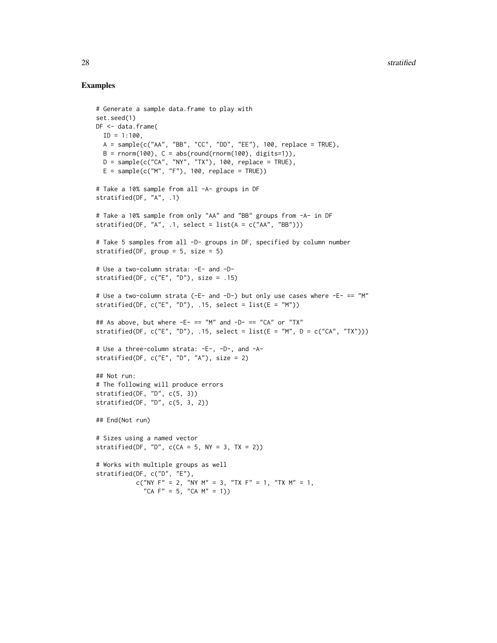```
# Generate a sample data.frame to play with
set.seed(1)
DF <- data.frame(
 ID = 1:100,
 A = sample(c('AA", "BB", "CC", "DD", "EE"), 100, replace = TRUE),B = rnorm(100), C = abs(round(rnorm(100), digits=1)),
  D = sample(c("CA", "NY", "TX"), 100, replace = TRUE),E = sample(c("M", "F"), 100, replace = TRUE))# Take a 10% sample from all -A- groups in DF
stratified(DF, "A", .1)
# Take a 10% sample from only "AA" and "BB" groups from -A- in DF
stratified(DF, "A", .1, select = list(A = c("AA", "BB")))
# Take 5 samples from all -D- groups in DF, specified by column number
stratified(DF, group = 5, size = 5)
# Use a two-column strata: -E- and -D-
stratified(DF, c("E", "D"), size = .15)
# Use a two-column strata (-E- and -D-) but only use cases where -E- == "M"
stratified(DF, c("E", "D"), .15, select = list(E = "M"))## As above, but where -E- == "M" and -D- == "CA" or "TX"
stratified(DF, c("E", "D"), .15, select = list(E = "M", D = c("CA", "TX")))
# Use a three-column strata: -E-, -D-, and -A-
stratified(DF, c("E", "D", "A"), size = 2)
## Not run:
# The following will produce errors
stratified(DF, "D", c(5, 3))
stratified(DF, "D", c(5, 3, 2))
## End(Not run)
# Sizes using a named vector
stratified(DF, "D", c(CA = 5, NY = 3, TX = 2))
# Works with multiple groups as well
stratified(DF, c("D", "E"),
           c("NY F'' = 2, "NY M'' = 3, "TX F'' = 1, "TX M'' = 1,
             "CA F'' = 5, "CA M'' = 1)
```